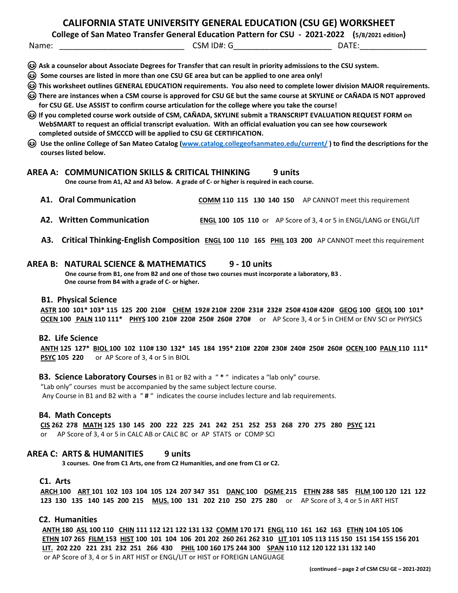## **CALIFORNIA STATE UNIVERSITY GENERAL EDUCATION (CSU GE) WORKSHEET**

**College of San Mateo Transfer General Education Pattern for CSU - 2021-2022 (5/8/2021 edition)**

Name: \_\_\_\_\_\_\_\_\_\_\_\_\_\_\_\_\_\_\_\_\_\_\_\_\_\_\_\_ CSM ID#: G\_\_\_\_\_\_\_\_\_\_\_\_\_\_\_\_\_\_\_\_\_\_ DATE:\_\_\_\_\_\_\_\_\_\_\_\_\_\_\_

- **Ask a counselor about Associate Degrees for Transfer that can result in priority admissions to the CSU system.**
- **Some courses are listed in more than one CSU GE area but can be applied to one area only!**
- **This worksheet outlines GENERAL EDUCATION requirements. You also need to complete lower division MAJOR requirements.**
- **There are instances when a CSM course is approved for CSU GE but the same course at SKYLINE or CAÑADA IS NOT approved for CSU GE. Use ASSIST to confirm course articulation for the college where you take the course!**
- **If you completed course work outside of CSM, CAÑADA, SKYLINE submit a TRANSCRIPT EVALUATION REQUEST FORM on WebSMART to request an official transcript evaluation. With an official evaluation you can see how coursework completed outside of SMCCCD will be applied to CSU GE CERTIFICATION.**
- **Use the online College of San Mateo Catalog [\(www.catalog.collegeofsanmateo.edu/current/](http://www.catalog.collegeofsanmateo.edu/current/) ) to find the descriptions for the courses listed below.**

# **AREA A: COMMUNICATION SKILLS & CRITICAL THINKING** 9 units One course from A1, A2 and A3 below. A grade of C- or higher is required in each course.

- **A1. Oral Communication COMM 110 115 130 140 150** AP CANNOT meet this requirement
- **A2. Written Communication <b>ENGL 100 105 110** or AP Score of 3, 4 or 5 in ENGL/LANG or ENGL/LIT
- **A3. Critical Thinking-English Composition ENGL 100 110 165 PHIL 103 200** AP CANNOT meet this requirement

# **AREA B: NATURAL SCIENCE & MATHEMATICS 9 - <sup>10</sup> units One course from B1, one from B2 and one of those two courses must incorporate a laboratory, B3 .**

 **One course from B4 with a grade of C- or higher.**

#### **B1. Physical Science**

 **ASTR 100 101\* 103\* 115 125 200 210# CHEM 192# 210# 220# 231# 232# 250# 410# 420# GEOG 100 GEOL 100 101\* OCEN 100 PALN 110 111\* PHYS 100 210# 220# 250# 260# 270#** or AP Score 3, 4 or 5 in CHEM or ENV SCI or PHYSICS

#### **B2. Life Science**

 **ANTH 125 127\* BIOL 100 102 110# 130 132\* 145 184 195\* 210# 220# 230# 240# 250# 260# OCEN 100 PALN 110 111\* PSYC 105 220** or AP Score of 3, 4 or 5 in BIOL

#### **B3. Science Laboratory Courses**in B1 or B2 with a " **\*** " indicates a "lab only" course.

 "Lab only" courses must be accompanied by the same subject lecture course. Any Course in B1 and B2 with a " **#** " indicates the course includes lecture and lab requirements.

#### **B4. Math Concepts**

**CIS 262 278 MATH 125 130 145 200 222 225 241 242 251 252 253 268 270 275 280 PSYC 121**

or AP Score of 3, 4 or 5 in CALC AB or CALC BC or AP STATS or COMP SCI

**AREA C: ARTS & HUMANITIES 9 units 3 courses. One from C1 Arts, one from C2 Humanities, and one from C1 or C2.**

### **C1. Arts**

ARCH 100 ART 101 102 103 104 105 124 207 347 351 DANC 100 DGME 215 ETHN 288 585 FILM 100 120 121 122 **123 130 135 140 145 200 215 MUS. 100 131 202 210 250 275 280** or AP Score of 3, 4 or 5 in ART HIST

#### **C2. Humanities**

 **ANTH 180 ASL 100 110 CHIN 111 112 121 122 131 132 COMM 170 171 ENGL 110 161 162 163 ETHN 104 105 106** ETHN 107 265 FILM 153 HIST 100 101 104 106 201 202 260 261 262 310 LIT 101 105 113 115 150 151 154 155 156 201  **LIT. 202 220 221 231 232 251 266 430 PHIL 100 160 175 244 300 SPAN 110 112 120 122 131 132 140** or AP Score of 3, 4 or 5 in ART HIST or ENGL/LIT or HIST or FOREIGN LANGUAGE